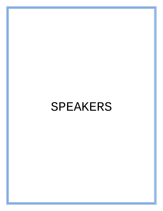# SPEAKERS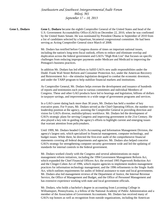**Gene L. Dodaro Gene L. Dodaro** became the eighth Comptroller General of the United States and head of the U.S. Government Accountability Office (GAO) on December 22, 2010, when he was confirmed by the United States Senate. He was nominated by President Obama in September of 2010 from a list of candidates selected by a bipartisan, bicameral congressional committee. He had been serving as Acting Comptroller General since March of 2008.

> Mr. Dodaro has testified before Congress dozens of times on important national issues, including the nation's long term fiscal outlook, efforts to reduce and eliminate overlap and duplication across the federal government and GAO's "High Risk List" that focuses on specific challenges from reducing improper payments under Medicare and Medicaid to improving the Pentagon's business practices.

> In addition Mr. Dodaro has led efforts to fulfill GAO's new audit responsibilities under the Dodd- Frank Wall Street Reform and Consumer Protection Act, under the American Recovery and Reinvestment Act—the stimulus legislation designed to combat the economic downturn, and under the TARP program to help stabilize financial markets and institutions.

As Comptroller General, Mr. Dodaro helps oversee the development and issuance of hundreds of reports and testimonies each year to various committees and individual Members of Congress. These and other GAO products have led to hearings and legislation, billions of dollars in taxpayer savings, and improvements to a wide range of government programs and services.

In a GAO career dating back more than 30 years, Mr. Dodaro has held a number of key executive posts. For 9 years, Mr. Dodaro served as the Chief Operating Officer, the number two leadership position at the agency, assisting the Comptroller General in providing direction and vision for GAO's diverse, multidisciplinary workforce. Mr. Dodaro led the development of GAO's strategic plans for serving Congress and improving government in the 21st Century. He also played a key role in guiding the agency's efforts to highlight current and emerging issues that warrant attention from policymakers.

Until 1999, Mr. Dodaro headed GAO's Accounting and Information Management Division, the agency's largest unit, which specialized in financial management, computer technology, and budget issues. While there, he directed the first-ever audit of the comprehensive financial statements covering all federal departments and agencies. Mr. Dodaro also helped conceive GAO's strategy for strengthening computer security government wide and led the updating of standards for internal controls in the federal government.

Mr. Dodaro worked closely with the Congress and several administrations on major management reform initiatives, including the 1994 Government Management Reform Act, which expanded the Chief Financial Officers Act; the revised 1995 Paperwork Reduction Act and the Clinger-Cohen Act of 1996, which require agencies to implement modern management practices for information technology management; and the 1996 refinements to the Single Audit Act, which outlines requirements for audits of federal assistance to state and local governments. Mr. Dodaro also led management reviews of the Department of Justice, the Internal Revenue Service, the Office of Management and Budget, and the Office of Personnel Management and has extensive experience working with state and local government officials.

Mr. Dodaro, who holds a bachelor's degree in accounting from Lycoming College in Williamsport, Pennsylvania, is a fellow of the National Academy of Public Administration and a member of the Association of Government Accountants. Mr. Dodaro has received many of GAO's top honors as well as recognition from outside organizations, including the American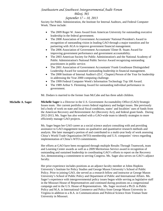# *Southeastern and Southwest Intergovernmental Audit Forum Biloxi, MS*

### *September 17 – 18, 2013*

Society for Public Administration, the Institute for Internal Auditors, and Federal Computer Week. These include:

|                          | The 2009 Roger W. Jones Award from American University for outstanding executive<br>leadership in the federal government.<br>The 2008 Association of Government Accountants' National President's Award in<br>recognition of outstanding vision in leading GAO through a major transition and for<br>partnering with AGA to improve government financial management.<br>The 2006 Association of Government Accountants' Elmer B. Staats Award for<br>improving government performance and government accountability.<br>The 2003 American Society for Public Administration's and the National Academy of<br>Public Administration's National Public Service Award recognizing outstanding<br>practitioners in public service.<br>The 2001 Association of Government Accountants' Frank Greathouse Distinguished<br>Leadership Award for sustained outstanding leadership in financial management.<br>The 2000 Institute of Internal Auditor's (D.C. Chapter) Person of the Year for leadership<br>in addressing the Year 2000 computing challenge.<br>The 1999 Federal Computer Week's Information Technology Top 100 Award.<br>The 1989 Arthur S. Flemming Award for outstanding individual performance in<br>government. |
|--------------------------|-----------------------------------------------------------------------------------------------------------------------------------------------------------------------------------------------------------------------------------------------------------------------------------------------------------------------------------------------------------------------------------------------------------------------------------------------------------------------------------------------------------------------------------------------------------------------------------------------------------------------------------------------------------------------------------------------------------------------------------------------------------------------------------------------------------------------------------------------------------------------------------------------------------------------------------------------------------------------------------------------------------------------------------------------------------------------------------------------------------------------------------------------------------------------------------------------------------------------------|
|                          | Mr. Dodaro is married to the former Joan McCabe and has three adult children.                                                                                                                                                                                                                                                                                                                                                                                                                                                                                                                                                                                                                                                                                                                                                                                                                                                                                                                                                                                                                                                                                                                                               |
| <b>Michelle A. Sager</b> | Michelle Sager is a Director in the U.S. Government Accountability Office (GAO) Strategic<br>Issues team. Her current portfolio covers federal regulatory and budget issues. She previously<br>led a body of work on state and local fiscal conditions, states' and localities' uses of funds from<br>the American Recovery and Reinvestment Act (Recovery Act), and federal grant funds. During<br>2012-2013, Ms. Sager has also worked with a GAO-wide team to identify strategies to more<br>efficiently manage GAO projects.                                                                                                                                                                                                                                                                                                                                                                                                                                                                                                                                                                                                                                                                                            |
|                          | Ms. Sager began her GAO career as a social science analyst consulting with and providing<br>assistance to GAO engagement teams on qualitative and quantitative research methods and<br>analysis. She later managed a portion of and contributed to a multi-year body of work assessing<br>China's World Trade Organization (WTO) membership and U.S. companies' views regarding<br>implementation of China's WTO commitments.                                                                                                                                                                                                                                                                                                                                                                                                                                                                                                                                                                                                                                                                                                                                                                                               |
|                          | Her efforts at GAO have been recognized through multiple Results Through Teamwork, team<br>and Learning Center awards as well as a 2009 Meritorious Service award in recognition of<br>outstanding and sustained leadership in coordinating GAO's efforts to report on the Recovery<br>Act, demonstrating a commitment to serving Congress. Ms. Sager also serves on GAO's adjunct<br>faculty.                                                                                                                                                                                                                                                                                                                                                                                                                                                                                                                                                                                                                                                                                                                                                                                                                              |
|                          | Her prior experience includes positions as an adjunct faculty member at Johns Hopkins<br>University's Institute for Policy Studies and George Mason University's School of Public<br>Policy. Prior to joining GAO, she served as a research fellow and instructor at George Mason<br>University's School of Public Policy and Department of Public and International Affairs. Ms.<br>Sager's experience with intergovernmental policy issues began while serving as legislative staff<br>in the Missouri House of Representatives and continued during positions on a congressional<br>campaign and in the U.S. House of Representatives. Ms. Sager received a Ph.D. in Public<br>Policy and M.A. in International Commerce and Policy from George Mason University in<br>Virginia in addition to a B.A. in Communications and Political Science from Truman State<br>University in Missouri.                                                                                                                                                                                                                                                                                                                               |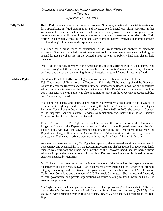|                       | Southeastern and Southwest Intergovernmental Audit Forum<br>Biloxi, MS<br>September 17 - 18, 2013                                                                                                                                                                                                                                                                                                                                                                                                                                                        |
|-----------------------|----------------------------------------------------------------------------------------------------------------------------------------------------------------------------------------------------------------------------------------------------------------------------------------------------------------------------------------------------------------------------------------------------------------------------------------------------------------------------------------------------------------------------------------------------------|
| <b>Kelly Todd</b>     | Kelly Todd is a shareholder at Forensic Strategic Solutions, a national financial investigation<br>firm specializing in fraud examination and investigative financial consulting services. In her<br>work as a forensic accountant and fraud examiner, she provides services for plaintiff and<br>defense attorneys, audit committees, corporate boards, and governmental entities. Ms. Todd<br>testifies as an expert witness in federal and state courts on matters involving economic damages<br>in a broad range of personal and corporate disputes. |
|                       | Ms. Todd has a broad range of experience in the investigation and analysis of electronic<br>evidence. She has conducted forensic examinations for governmental agencies, including the<br>second largest school district in the United States, as well as publicly held and closely held<br>businesses.                                                                                                                                                                                                                                                  |
|                       | Ms. Todd is a faculty member of the American Institute of Certified Public Accountants. She<br>teaches throughout the country on various forensic accounting matters including electronic<br>evidence and discovery, data mining, internal investigations, and financial statement fraud.                                                                                                                                                                                                                                                                |
| <b>Kathleen Tighe</b> | On March 17, 2010, Kathleen S. Tighe was sworn in as the Inspector General of the<br>U.S. Department of Education. In December 2011, Ms. Tighe was appointed by President<br>Obama to chair the Recovery Accountability and Transparency Board, a position she undertakes<br>while continuing to serve as the Inspector General of the Department of Education. In June<br>2011, Inspector General Tighe was also appointed to serve on the Government Accountability<br>and Transparency Board.                                                         |
|                       | Ms. Tighe has a long and distinguished career in government accountability and a wealth of<br>experience in fighting fraud. Prior to taking the helm at Education, she was the Deputy<br>Inspector General of the Department of Agriculture. From 1995 to 2005, she served as Counsel<br>to the Inspector General, General Services Administration and, before that, as an Assistant<br>Counsel for the Office of Inspector General.                                                                                                                     |
|                       | From 1988 until 1991, Ms. Tighe was a Trial Attorney in the Fraud Section of the Commercial<br>Litigation Branch of the Department of Justice. In that post, she litigated cases under the civil<br>False Claims Act involving government agencies, including the Department of Defense, the<br>Department of Agriculture, and the General Services Administration. Prior to her government<br>service, Ms. Tighe was in private practice with the law firm Lewis, Mitchell & Moore.                                                                     |
|                       | As a senior government official, Ms. Tighe has repeatedly demonstrated her strong commitment to<br>transparency and accountability. At the Education Department, she has focused on recovering funds<br>misused by contractors and others. As a member of the Recovery Board, she has been a strong<br>advocate for providing clear accountability on how Recovery Act funds are distributed by federal<br>agencies and used by recipients.                                                                                                              |
|                       | Ms. Tighe also has played an active role in the operations of the Council of the Inspectors General<br>on Integrity and Efficiency (CIGIE), an independent entity established by Congress to promote<br>integrity, economy, and effectiveness in government. She is Chair of CIGIE's Information<br>Technology Committee and a member of CIGIE's Audit Committee. She has lectured frequently<br>to both government and private organizations on issues relating to fraud, waste and abuse in<br>government programs.                                    |
|                       | Ms. Tighe earned her law degree with honors from George Washington University (JD'83). She<br>has a Master's Degree in International Relations from American University (MA'79). She<br>graduated with distinction from Purdue University (BA'76), where she was a member of Phi Beta<br>Kappa.                                                                                                                                                                                                                                                          |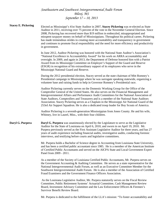|                            | Southeastern and Southwest Intergovernmental Audit Forum                                                                                                                                                                                                                                                                                                                                                                                                                                                                                                                                                         |
|----------------------------|------------------------------------------------------------------------------------------------------------------------------------------------------------------------------------------------------------------------------------------------------------------------------------------------------------------------------------------------------------------------------------------------------------------------------------------------------------------------------------------------------------------------------------------------------------------------------------------------------------------|
|                            | Biloxi, MS                                                                                                                                                                                                                                                                                                                                                                                                                                                                                                                                                                                                       |
|                            | September 17 - 18, 2013                                                                                                                                                                                                                                                                                                                                                                                                                                                                                                                                                                                          |
| <b>Stacey E. Pickering</b> | Elected as Mississippi's 41st State Auditor in 2007, Stacey Pickering was re-elected as State<br>Auditor in 2011, receiving over 75 percent of the vote in the November General Election. Since<br>2008, Pickering has recovered more than \$19 million in embezzled, misappropriated and<br>misspent taxpayer money on behalf of Mississippians. Throughout his political career, Pickering<br>has made tremendous strides in creating more accountability and transparency in government<br>and continues to promote fiscal responsibility and the need for more efficiency and productivity<br>in government. |
|                            | In June 2012, Auditor Pickering was honored with the National State Auditor's Association's<br>"National Excellence in Accountability Award" for his work on ARRA accountability and<br>oversight. In 2009, and again in 2013, the Department of Defense honored him with a Patriot<br>Award from its Mississippi Committee on Employer's Support of the Guard and Reserve<br>(ESGR) in recognition of his extraordinary support of its employees who serve in the<br>Mississippi National Guard and Reserve.                                                                                                    |
|                            | During the 2012 presidential election, Stacey served as the state chairman of Mitt Romney's<br>Presidential campaign in Mississippi where he was surrogate speaking statewide, organizing a<br>volunteer base and raising funds to help in Governor Romney's Presidential race.                                                                                                                                                                                                                                                                                                                                  |
|                            | Auditor Pickering currently serves on the Domestic Working Group for the Office of the<br>Comptroller General of the United States. He also serves on the Financial Management and<br>Intergovernmental Affairs and Performance Audit Committees for the National Association of<br>State Auditors, Comptrollers and Treasurers and is a member of the National State Auditors<br>Association. Stacey Pickering serves as a Chaplain in the Mississippi Air National Guard of the<br>253rd Air Support Squadron. He is also a dedicated troop leader for Boy Scouts of America.                                  |
|                            | Auditor Pickering is a seventh-generation Mississippian from Jones County. He and his wife,<br>Whitney, live in Laurel, Miss., with their four children.                                                                                                                                                                                                                                                                                                                                                                                                                                                         |
| Daryl G. Purpera           | <b>Daryl G. Purpera</b> was unanimously elected by the Legislature to serve as the Legislative<br>Auditor for the State of Louisiana on April 6, 2010, and sworn in on April 19, 2010. Mr.<br>Purpera previously served as the First Assistant Legislative Auditor for three years, and has 27<br>years of audit experience including financial audits, investigative audits, conducting forensic<br>interviews, and testifying before courts and legislative committees.                                                                                                                                        |
|                            | Mr. Purpera holds a Bachelor of Science degree in Accounting from Louisiana State University,<br>and has been a certified public accountant since 1985. He is a member of the American Institute<br>of Certified Public Accountants and served on the AICPA State and Local Government Expert<br>Panel from 2009 - 2011.                                                                                                                                                                                                                                                                                         |
|                            | As a member of the Society of Louisiana Certified Public Accountants, Mr. Purpera serves on<br>the Government Accounting & Auditing Committee. He serves as a state representative for the<br>National Intergovernmental Audit Forum, as well as an Executive Committee Member for the<br>Southwest Intergovernmental Audit Forum. He is also a member of the Association of Certified<br>Fraud Examiners and the Government Finance Officers Association.                                                                                                                                                       |
|                            | As the Louisiana Legislative Auditor, Mr. Purpera statutorily serves on the Fiscal Review<br>Committee, Public Retirement Systems' Actuarial Committee, Cash Management Review<br>Board, Investment Advisory Committee and the Law Enforcement Officers & Firemen's<br>Survivor Benefit Review Board.                                                                                                                                                                                                                                                                                                            |

Mr. Purpera is dedicated to the fulfillment of the LLA's mission: "To foster accountability and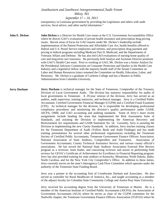transparency in Louisiana government by providing the Legislature and others with audit services, fiscal advice, and other useful information."

**John E. Dicken John Dicken** is a Director for Health Care issues at the U.S. Government Accountability Office where he directs GAO's evaluations of private health insurance and prescription drug pricing issues. Recent areas of focus for GAO reports under Mr. Dicken's leadership include implementation of the Patient Protection and Affordable Care Act, health benefits offered to federal and U.S. Postal Service employees and retirees, and prescription drug payment and pricing in federal programs including Medicare Part D, Medicaid, and the Departments of Veterans Affairs and Defense. He has also led GAO evaluations of nursing home quality of care and long-term care insurance. He previously held Analyst and Assistant Director positions with GAO's Health Care team. Prior to working at GAO, Mr. Dicken was a Senior Analyst for the Presidential Advisory Commission on Consumer Protection and Quality in the Health Care Industry and a legislative fellow with the majority health staff of the Senate Committee on Labor and Human Resources (since renamed the Committee on Health, Education, Labor, and Pensions). Mr. Dicken is a graduate of Carleton College and has a Masters in Public Administration from Columbia University.

**Jerry Durham Jerry Durham** is technical manager for the State of Tennessee, Comptroller of the Treasury, Division of Local Government Audit. The division has statutory responsibility for audits of local governments in Tennessee. A 29-year veteran of the division, Jerry has served as an auditor, audit supervisor, training instructor, and technical manager. Jerry is a Certified Public Accountant, Certified Government Financial Manager (CGFM) and a Certified Fraud Examiner (CFE). As technical manager for the division, he is responsible for developing professional compliance procedures and monitoring the division's quality performance under GASB, AICPA, OMB, and GAO accounting and auditing standards. Some of Jerry's more recent assignments include heading the team that implemented the Risk Assessment Suite of Standards, and assisting the Division in implementing the American Recovery and Reinvestment Act requirements and GASB Statement No. 54. Currently, Jerry is assisting the Division in implementing the new Clarity Standards. In addition, Jerry teaches training classes for the Tennessee Department of Audit (Yellow Book and Audit Findings) and has made training presentations for several other professional organizations including the Tennessee Society of Certified Public Accountants; Tennessee Government Finance Officers Association; National Association of State Auditors, Comptrollers and Treasurers; Association of Government Accountants; County Technical Assistance Service; and various county official's associations. He has served the National State Auditors Association External Peer Review program as a reviewer, team leader, and concurring reviewer and assists in performing field reviews for GFOA's Certificate of Achievement for Excellence in Financial Reporting program. Jerry has also provided training for state auditors in Kentucky, Minnesota, North Dakota, Idaho, North Carolina, and for the New York City Comptroller's Office. In addition to these duties, Jerry currently serves on the state's Interagency Cash Flow Committee which operates under the authority of the Tennessee State Funding Board.

> Jerry was a partner in the accounting firm of Crosthwaite Durham and Associates. He also served as controller for Rural Healthcare of America, Inc., and taught accounting as a member of the adjunct faculty for Columbia State Community College and Austin Peay State University.

> Jerry received his accounting degree from the University of Tennessee at Martin. He is a member of the American Institute of Certified Public Accountants (AICPA); the Association of Government Accountants (AGA) where he serves as chair of the CGFM committee for the Nashville chapter; the Tennessee Government Finance Officers Association (TGFOA) where he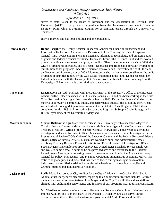|                       | Southeastern and Southwest Intergovernmental Audit Forum                                                                                                                                                                                                                                                                                                                                                                                                                                                                                                                                                                                                                                                                                                                                                                                                                                                                                                                                                                                                                                                                                                                                                                                                                                                                   |
|-----------------------|----------------------------------------------------------------------------------------------------------------------------------------------------------------------------------------------------------------------------------------------------------------------------------------------------------------------------------------------------------------------------------------------------------------------------------------------------------------------------------------------------------------------------------------------------------------------------------------------------------------------------------------------------------------------------------------------------------------------------------------------------------------------------------------------------------------------------------------------------------------------------------------------------------------------------------------------------------------------------------------------------------------------------------------------------------------------------------------------------------------------------------------------------------------------------------------------------------------------------------------------------------------------------------------------------------------------------|
|                       | Biloxi, MS                                                                                                                                                                                                                                                                                                                                                                                                                                                                                                                                                                                                                                                                                                                                                                                                                                                                                                                                                                                                                                                                                                                                                                                                                                                                                                                 |
|                       | September 17 - 18, 2013                                                                                                                                                                                                                                                                                                                                                                                                                                                                                                                                                                                                                                                                                                                                                                                                                                                                                                                                                                                                                                                                                                                                                                                                                                                                                                    |
|                       | serves as state liaison to the Board of Directors; and the Association of Certified Fraud<br>Examiners (ACFE). Jerry is also a graduate from the Tennessee Government Executive<br>Institute (TGEI) which is a training program for government leaders through the University of<br>Tennessee.                                                                                                                                                                                                                                                                                                                                                                                                                                                                                                                                                                                                                                                                                                                                                                                                                                                                                                                                                                                                                             |
|                       | Jerry is married and has three children and one grandchild.                                                                                                                                                                                                                                                                                                                                                                                                                                                                                                                                                                                                                                                                                                                                                                                                                                                                                                                                                                                                                                                                                                                                                                                                                                                                |
| <b>Donna Joseph</b>   | Donna Joseph is the Deputy Assistant Inspector General for Financial Management and<br>Information Technology Audit with the Department of the Treasury's Office of Inspector<br>General (OIG) overseeing financial management, information technology, and program audits<br>of grants and federal financial assistance. Donna has been with OIG since 1998 and has worked<br>primarily on financial statement and program audits. Given the economic crisis since 2008, the<br>OIG's oversight has increased, and as a result, Donna became responsible for audit oversight of<br>multibillion dollar programs under the American Recovery and Reinvestment Act of 2009 and<br>the Housing and Recovery Act of 2008. More recently, she has become responsible for the audit<br>oversight of activities funded by the Gulf Coast Restoration Trust Fund. Donna has spent her<br>federal audit career with the Treasury OIG. She received her bachelors in accounting from the<br>University of Maryland and is a certified public accountant.                                                                                                                                                                                                                                                                            |
| Eileen Kao            | <b>Eileen Kao</b> is an Audit Manager with the Department of the Treasury's Office of the Inspector<br>General (OIG). Eileen has been with OIG since January 2010 and has been working in the Gulf<br>Coast Restoration Oversight directorate since January 2013. During her time at OIG she has led<br>material loss reviews, contracting audits, and performance audits. Prior to joining the OIG she<br>was a Federal Strategy & Operations consultant with Deloitte Consulting and IBM. Eileen<br>completed her dual B.S. in Information Systems and Logistics & Supply Chain Strategy and a<br>B.A in Psychology at the University of Maryland.                                                                                                                                                                                                                                                                                                                                                                                                                                                                                                                                                                                                                                                                       |
| <b>Marvin Bickham</b> | Marvin Bickham is a graduate from McNeese State University with a bachelor's degree in<br>Criminal Justice. Currently Marvin works as a criminal investigator for the Department of the<br>Treasury (Treasury), Office of the Inspector General. Marvin has 24 plus years as a criminal<br>investigator and law enforcement officer. Marvin also worked as a criminal Investigator for the<br>Department of Justice (DOJ), Office of the Inspector General and the Federal Bureau of Prisons<br>(BOP), Office of Internal Affairs. Marvin has worked criminal and administrative cases<br>involving Treasury Bureaus, Financial Institutions, Federal Bureau of Investigations (FBI)<br>Special Agents and employees, BOP employees, United States Marshals Service employees,<br>and DOJ, to name a few. In addition he has provided advice and assistance to the Assistant<br>United States Attorneys in preparing cases for prosecution and briefed the Assistant Attorney<br>General for Policy, Management and Planning Operations on numerous occasions. Marvin has<br>testified at grand juries and presented evidence collected during investigations to obtain<br>indictments and testified at trial and administrative hearings in matters involving Federal<br>Criminal statutes and administrative violations. |
| <b>Leslie Ward</b>    | Leslie Ward has served as City Auditor for the City of Atlanta since October 2001. She is<br>Atlanta's first independent city auditor, reporting to an audit committee that includes 3 citizen<br>members, as well as representatives of the Mayor and the City Council. She and her staff are<br>charged with auditing the performance and finances of city programs, activities, and contractors.                                                                                                                                                                                                                                                                                                                                                                                                                                                                                                                                                                                                                                                                                                                                                                                                                                                                                                                        |
|                       | Ms. Ward has served on the International Government Relations Committee of the Institute of<br>Internal Auditors and is on the board of the Atlanta IIA Chapter. She also serves on the<br>executive committee of the Southeastern Intergovernmental Audit Forum and the US                                                                                                                                                                                                                                                                                                                                                                                                                                                                                                                                                                                                                                                                                                                                                                                                                                                                                                                                                                                                                                                |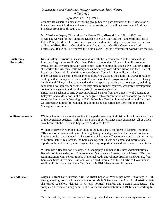|                                          | Southeastern and Southwest Intergovernmental Audit Forum<br>Biloxi, MS<br>September 17 - 18, 2013                                                                                                                                                                                                                                                                                                                                                                                                                                                                                                                                                                                                                                                                                                                                                                                                                                                                                                                                                                                                                                                                                                                                                                                                                                                              |
|------------------------------------------|----------------------------------------------------------------------------------------------------------------------------------------------------------------------------------------------------------------------------------------------------------------------------------------------------------------------------------------------------------------------------------------------------------------------------------------------------------------------------------------------------------------------------------------------------------------------------------------------------------------------------------------------------------------------------------------------------------------------------------------------------------------------------------------------------------------------------------------------------------------------------------------------------------------------------------------------------------------------------------------------------------------------------------------------------------------------------------------------------------------------------------------------------------------------------------------------------------------------------------------------------------------------------------------------------------------------------------------------------------------|
|                                          | Comptroller General's domestic working group. She is a past president of the Association of<br>Local Government Auditors and served on the Advisory Council on Government Auditing<br>Standards from 1999 through 2001.                                                                                                                                                                                                                                                                                                                                                                                                                                                                                                                                                                                                                                                                                                                                                                                                                                                                                                                                                                                                                                                                                                                                        |
|                                          | Ms. Ward was Deputy City Auditor for Kansas City, Missouri from 1991 to 2001, and<br>previously worked for the Tennessee Division of State Audit and the Vanderbilt Institute of<br>Public Policy Studies. She earned undergraduate and master's degrees in political science, as<br>well as an MBA. She is a Certified Internal Auditor and a Certified Government Audit<br>Professional (CGAP). She received the 2004 CGAP Highest Achievement Award from the IIA.                                                                                                                                                                                                                                                                                                                                                                                                                                                                                                                                                                                                                                                                                                                                                                                                                                                                                           |
| <b>Krista Baker-</b><br><b>Hernandez</b> | Krista Baker-Hernandez is a senior auditor with the Performance Audit Services of the<br>Louisiana Legislative Auditor's office. Krista has more than 12 years of public program<br>evaluation and performance audit experience. Before joining the Legislative Auditor's office,<br>she worked for Riverdale Park, Maryland as the deputy town administrator, and the Office of<br>Legislative Oversight for the Montgomery County Council in Rockville, Maryland.<br>In her capacity as a senior performance auditor, Krista acts as the auditor-in-charge for audits<br>dealing with economy, efficiency, and effectiveness of state programs and functions. During<br>her time with LLA, she has conducted audits and special projects on various topics, including<br>economic development, hurricane recovery, state retirement systems, workforce development,<br>contract management, and fiscal analysis of proposed legislation.<br>Krista has a Bachelor of Arts degree in Political Science from the University of Louisiana at<br>Lafayette, and a Master of Public Policy degree with a concentration on economic policy from<br>American University in Washington D.C. Krista is a Certified Internal Auditor and Certified<br>Government Auditing Professional. In addition, she has earned her Certification in Risk<br>Management Assurance. |
| <b>William Leonards</b>                  | William Leonards is a senior auditor in the performance audit division of the Louisiana Office<br>of the Legislative Auditor. William has 4 years of performance audit experience, all of which<br>have been with the Louisiana Legislative Auditor's Office.                                                                                                                                                                                                                                                                                                                                                                                                                                                                                                                                                                                                                                                                                                                                                                                                                                                                                                                                                                                                                                                                                                  |
|                                          | William is currently working on an audit of the Louisiana Department of Natural Resources -<br>Office of Conservation and their role in regulating oil and gas wells in the state of Louisiana.<br>Previous audits have included the Department of Economic Development and its administering<br>of Motion Picture Tax Credits, the Louisiana Special Education Center, and informational<br>reports on the state's cell phone usage/cost savings opportunities and state travel expenditures.                                                                                                                                                                                                                                                                                                                                                                                                                                                                                                                                                                                                                                                                                                                                                                                                                                                                 |
|                                          | William has a Bachelor of Arts degree in Geography, a minor in Business Administration, a<br>Bachelor of Science degree in Environmental Management Systems, and a Master of Business<br>Administration, with concentrations in Internal Audit and Chinese Business and Culture, from<br>Louisiana State University. William is a Certified Internal Auditor, a Certified Government<br>Auditing Professional, and has a Certification in Risk Management Assurance.                                                                                                                                                                                                                                                                                                                                                                                                                                                                                                                                                                                                                                                                                                                                                                                                                                                                                           |
| <b>Sam Atkinson</b>                      | Originally from New Orleans, Sam Atkinson began at Mississippi State University in 1987<br>after graduating from the Louisiana School for Math, Science and the Arts. At Mississippi State<br>she earned bachelors' degrees in History, Political Science, and Foreign Languages.<br>She<br>completed her Master's degree in Public Policy and Administration in 1996, while working full<br>time.                                                                                                                                                                                                                                                                                                                                                                                                                                                                                                                                                                                                                                                                                                                                                                                                                                                                                                                                                             |
|                                          | Over the last 25 years, her skills and knowledge have led her to work at such organizations as                                                                                                                                                                                                                                                                                                                                                                                                                                                                                                                                                                                                                                                                                                                                                                                                                                                                                                                                                                                                                                                                                                                                                                                                                                                                 |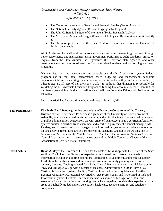- The Center for International Security and Strategic Studies (Senior Analyst),
- The National Security Agency (Russian Cryptography Program),
- The John C. Stennis Institute of Government (Senior Research Analyst),
- The Mississippi Municipal League (Director of Policy and Research), and most recently at
- The Mississippi Office of the State Auditor, where she serves as Director of Performance Audit.

At OSA, she and her staff work to improve efficiency and effectiveness in government through better performance and management using government performance audit standards. Based on requests from the State Auditor, the Legislature, the Governor, state agencies, and other government entities, she coordinates performance related reviews and audits of government programs.

Many topics, from the management and controls over the K-12 education system; federal program use in the State, performance based budgeting and management, economic development incentive auditing, health care accessibility and viability, and a wide variety of other topics are all part of her division's work. In addition, her division is responsible for validating the MS Adequate Education Program of funding that accounts for more than 40% of the State's general fund budget as well as data quality audits at the 152 school districts across the State.

Sam is married, has 7-year old twin boys and lives in Brandon, MS.

**Beth Pendergrass Elizabeth (Beth) Pendergrass** has been with the Tennessee Comptroller of the Treasury, Division of State Audit since 1985. She is a graduate of the University of North Carolina at Asheville, where she majored in history, classics, and political science. She received her master of public administration degree from the University of Tennessee. She is a certified information systems auditor, a certified fraud examiner, and a certified government financial manager. Ms. Pendergrass is currently an audit manager in the information systems group, where she focuses on data analytic techniques. She is a member of the Nashville Chapter of the Association of Government Accountants, the Middle Tennessee Chapter of the Information Systems Audit and Control Association, and is currently the secretary of the Middle Tennessee Chapter of the Association of Certified Fraud Examiners.

**David Ashley David Ashley** is the Director of IT Audit for the State of Mississippi with the Office of the State Auditor. David has over 30 years of experience on domestic and international levels in information technology auditing, operations, applications development, and technical support. In addition, he has been involved in numerous business continuity planning and disaster recovery projects. David graduated from Delta State University with a Master of Education in 1975 and Millsaps College with a Master of Business Administration in 2000. David is a Certified Information Systems Auditor, Certified Information Security Manager, Certified Business Continuity Professional, Certified HIPAA Professional , and is Certified in Risk and Information Systems Controls. In recent years he has served as Manager of IT Risk and Assurance for a major regional accounting firm, where he gained considerable experience in the areas of publically traded and private entities, healthcare, SAS70/SSAE 16, and regulatory compliance.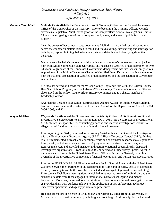|                            | Southeastern and Southwest Intergovernmental Audit Forum                                                                                                                                                                                                                                                                                                                                                                                                                                                                                                                                                                                                                                                                                                                             |
|----------------------------|--------------------------------------------------------------------------------------------------------------------------------------------------------------------------------------------------------------------------------------------------------------------------------------------------------------------------------------------------------------------------------------------------------------------------------------------------------------------------------------------------------------------------------------------------------------------------------------------------------------------------------------------------------------------------------------------------------------------------------------------------------------------------------------|
|                            | Biloxi, MS                                                                                                                                                                                                                                                                                                                                                                                                                                                                                                                                                                                                                                                                                                                                                                           |
|                            | September 17 - 18, 2013                                                                                                                                                                                                                                                                                                                                                                                                                                                                                                                                                                                                                                                                                                                                                              |
| <b>Melinda Crutchfield</b> | Melinda Crutchfield is the Department of Audit Training Officer for the State of Tennessee<br>Office of the Comptroller of the Treasury. Prior to becoming the Training Officer, Melinda<br>served as a Legislative Audit Investigator for the Comptroller's Special Investigations Unit for<br>15 years investigating allegations of complex fraud, waste, and abuse of public funds and<br>property.                                                                                                                                                                                                                                                                                                                                                                               |
|                            | Over the course of her career in state government, Melinda has provided specialized training<br>across the country on matters related to fraud and fraud auditing, interviewing and interrogation<br>techniques, rapport building, behavioral analysis, and detecting and identifying deceptive<br>behavior.                                                                                                                                                                                                                                                                                                                                                                                                                                                                         |
|                            | Melinda has a bachelor's degree in political science and a master's degree in criminal justice,<br>both from Middle Tennessee State University, and has been a Certified Fraud Examiner for over<br>14 years. A graduate of the Tennessee Government Management Institute, she currently serves<br>as president of the Middle Tennessee Chapter of Certified Fraud Examiners and is a member of<br>both the National Association of Certified Fraud Examiners and the Association of Government<br>Accountants.                                                                                                                                                                                                                                                                      |
|                            | Melinda has served on boards for the Wilson County Boys and Girls Club, the Wilson County<br>HeadStart School Program, and the Lebanon/Wilson County Chamber of Commerce. She has<br>also served on the Wilson County Black History Committee and is a charter member of<br>Leadership Wilson.                                                                                                                                                                                                                                                                                                                                                                                                                                                                                       |
|                            | Awarded the Lebanon High School Distinguished Alumni Award for Public Service Melinda<br>has been the recipient of the Instructor of the Year Award for the Department of Audit for 2004,<br>2006, 2008, and 2011.                                                                                                                                                                                                                                                                                                                                                                                                                                                                                                                                                                   |
| <b>Wayne McElrath</b>      | Wayne McElrath joined the Government Accountability Office (GAO), Forensic Audit and<br>Investigative Service (FAIS) team, Washington, DC in 2011. As the Director of Investigations,<br>Mr. McElrath is responsible for conducting proactive and reactive investigations relative to<br>allegations of fraud, waste, and abuse in federally funded programs.                                                                                                                                                                                                                                                                                                                                                                                                                        |
|                            | Prior to joining the GAO, he served as the Acting Assistant Inspector General for Investigations<br>with the Environmental Protection Agency (EPA), Office of Inspector General (OIG). In that<br>role, he implemented outreach and education efforts and coordinated responses to allegations of<br>fraud, waste, and abuse associated with EPA programs and the American Recovery and<br>Reinvestment Act, and provided managerial direction to national geographically dispersed<br>investigative organizations. From 2000 to 2008, he served as a Supervisory Special Agent in<br>numerous capacities with the United States Postal, Office of Inspector General, providing<br>oversight of the investigative component's financial, operational, and human resource activities. |
|                            | Prior to the USPS OIG, Mr. McElrath worked as a Senior Special Agent with the United States<br>Customs Service, the forerunner to the Department of Homeland Security, Office of Homeland<br>Security Investigations. In this role, he conducted and managed Organized Crime and Drug<br>Enforcement Task Force investigations, which led to numerous arrests of individuals and the<br>seizures of assets from those engaged in international narcotics smuggling and money<br>laundering. Moreover, he served as a field-training officer to new criminal investigators, as well<br>as provided them with guidance relative to the application of law enforcement techniques,<br>undercover operations, and agency policies and procedures.                                        |
|                            | He holds Bachelors of Science in Criminology and Criminal Justice from the University of<br>Missouri - St. Louis with minors in psychology and sociology. Additionally, he is a Harvard                                                                                                                                                                                                                                                                                                                                                                                                                                                                                                                                                                                              |